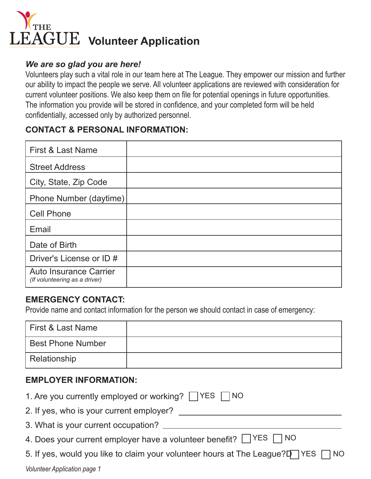

### *We are so glad you are here!*

Volunteers play such a vital role in our team here at The League. They empower our mission and further our ability to impact the people we serve. All volunteer applications are reviewed with consideration for current volunteer positions. We also keep them on file for potential openings in future opportunities. The information you provide will be stored in confidence, and your completed form will be held confidentially, accessed only by authorized personnel.

# **CONTACT & PERSONAL INFORMATION:**

| <b>First &amp; Last Name</b>                                   |  |
|----------------------------------------------------------------|--|
| <b>Street Address</b>                                          |  |
| City, State, Zip Code                                          |  |
| Phone Number (daytime)                                         |  |
| <b>Cell Phone</b>                                              |  |
| Email                                                          |  |
| Date of Birth                                                  |  |
| Driver's License or ID #                                       |  |
| <b>Auto Insurance Carrier</b><br>(If volunteering as a driver) |  |

### **EMERGENCY CONTACT:**

Provide name and contact information for the person we should contact in case of emergency:

| l First & Last Name      |  |
|--------------------------|--|
| <b>Best Phone Number</b> |  |
| Relationship             |  |

### **EMPLOYER INFORMATION:**

| 1. Are you currently employed or working? TYES TNO                               |
|----------------------------------------------------------------------------------|
| 2. If yes, who is your current employer?                                         |
| 3. What is your current occupation?                                              |
| 4. Does your current employer have a volunteer benefit? TYES TNO                 |
| 5. If yes, would you like to claim your volunteer hours at The League?D YES T NO |
| Volunteer Application page 1                                                     |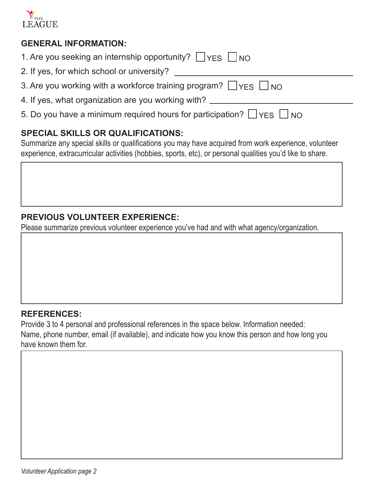

## **GENERAL INFORMATION:**

| 1. Are you seeking an internship opportunity? $\Box$ YES $\Box$ NO |  |  |
|--------------------------------------------------------------------|--|--|
|--------------------------------------------------------------------|--|--|

- 2. If yes, for which school or university?
- 3. Are you working with a workforce training program?  $\Box$  <code>YES  $\Box$ </code> <code>NO</code>
- 4. If yes, what organization are you working with?
- 5. Do you have a minimum required hours for participation?  $\bigsqcup$  YES  $\bigsqcup$  NO

# **SPECIAL SKILLS OR QUALIFICATIONS:**

Summarize any special skills or qualifications you may have acquired from work experience, volunteer experience, extracurricular activities (hobbies, sports, etc), or personal qualities you'd like to share.

# **PREVIOUS VOLUNTEER EXPERIENCE:**

Please summarize previous volunteer experience you've had and with what agency/organization.

### **REFERENCES:**

Provide 3 to 4 personal and professional references in the space below. Information needed: Name, phone number, email (if available), and indicate how you know this person and how long you have known them for.